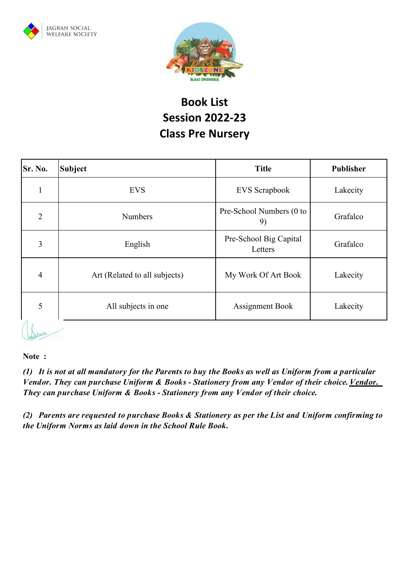



## **Book List Session 2022-23 Class Pre Nursery**

| Sr. No.        | <b>Subject</b>                | <b>Title</b>                      | <b>Publisher</b> |
|----------------|-------------------------------|-----------------------------------|------------------|
|                | <b>EVS</b>                    | <b>EVS</b> Scrapbook              | Lakecity         |
| $\overline{2}$ | <b>Numbers</b>                | Pre-School Numbers (0 to<br>9)    | Grafalco         |
| 3              | English                       | Pre-School Big Capital<br>Letters | Grafalco         |
| $\overline{4}$ | Art (Related to all subjects) | My Work Of Art Book               | Lakecity         |
| 5              | All subjects in one           | <b>Assignment Book</b>            | Lakecity         |
|                |                               |                                   |                  |

## **Note :**

Willair

(1) It is not at all mandatory for the Parents to buy the Books as well as Uniform from a particular *Vendor. They can purchase Uniform & Books - Stationery from any Vendor oftheir choice. Vendor. They can purchase Uniform & Books - Stationery from any Vendor of their choice.*

*(2) Parents are requested to purchase Books & Stationery as per the List and Uniform confirming to the Uniform Norms as laid down in the School Rule Book.*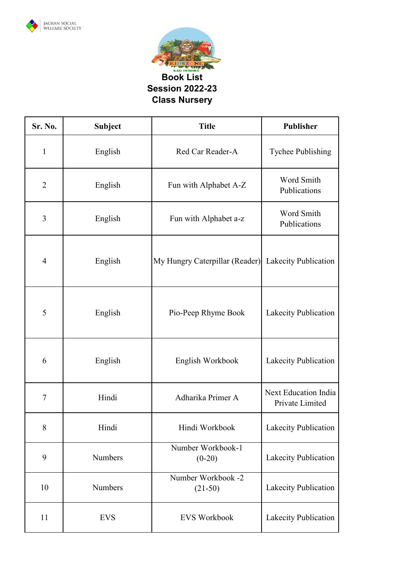



| Sr. No.        | <b>Subject</b> | <b>Title</b>                    | Publisher                                      |
|----------------|----------------|---------------------------------|------------------------------------------------|
| $\mathbf{1}$   | English        | Red Car Reader-A                | Tychee Publishing                              |
| $\overline{2}$ | English        | Fun with Alphabet A-Z           | Word Smith<br>Publications                     |
| 3              | English        | Fun with Alphabet a-z           | Word Smith<br>Publications                     |
| $\overline{4}$ | English        | My Hungry Caterpillar (Reader)  | Lakecity Publication                           |
| 5              | English        | Pio-Peep Rhyme Book             | Lakecity Publication                           |
| 6              | English        | English Workbook                | Lakecity Publication                           |
| 7              | Hindi          | Adharika Primer A               | <b>Next Education India</b><br>Private Limited |
| 8              | Hindi          | Hindi Workbook                  | Lakecity Publication                           |
| 9              | Numbers        | Number Workbook-1<br>$(0-20)$   | Lakecity Publication                           |
| 10             | Numbers        | Number Workbook -2<br>$(21-50)$ | Lakecity Publication                           |
| 11             | <b>EVS</b>     | <b>EVS Workbook</b>             | Lakecity Publication                           |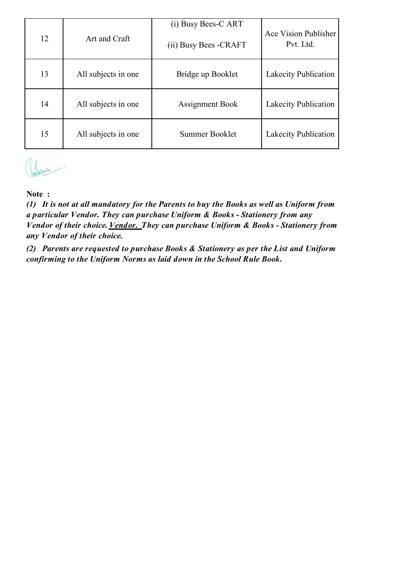| 12 | Art and Craft       | (i) Busy Bees-C ART<br>(ii) Busy Bees - CRAFT | Ace Vision Publisher<br>Pvt. Ltd. |
|----|---------------------|-----------------------------------------------|-----------------------------------|
| 13 | All subjects in one | Bridge up Booklet                             | Lakecity Publication              |
| 14 | All subjects in one | <b>Assignment Book</b>                        | Lakecity Publication              |
| 15 | All subjects in one | Summer Booklet                                | Lakecity Publication              |



## **Note :**

*(1) It is not at all mandatory for the Parents to buy the Books as well as Uniform from a particular Vendor. They can purchase Uniform & Books - Stationery from any Vendor of their choice. Vendor. They can purchase Uniform & Books - Stationery from any Vendor of their choice.*

*(2) Parents are requested to purchase Books & Stationery as per the List and Uniform confirming to the Uniform Norms as laid down in the School Rule Book.*